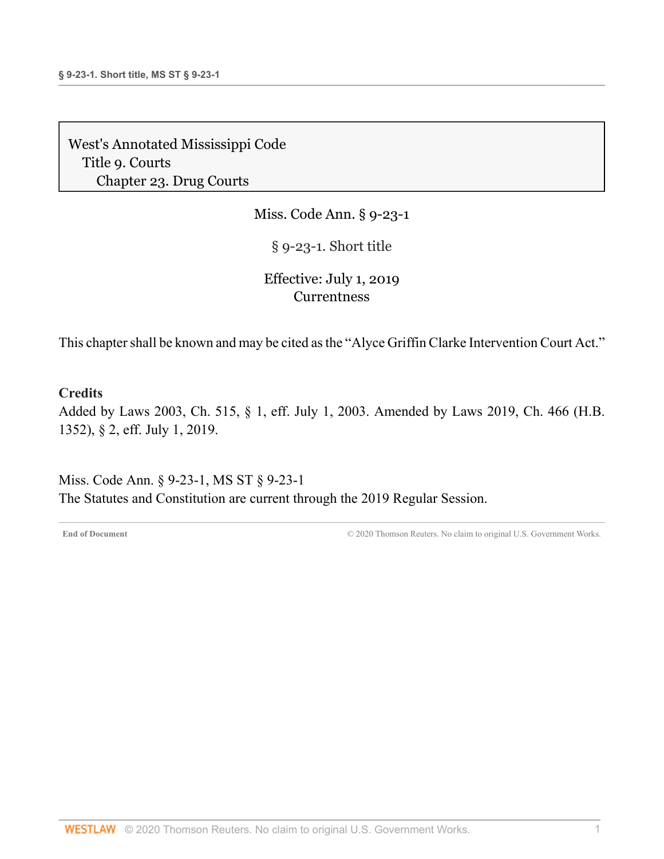Miss. Code Ann. § 9-23-1

§ 9-23-1. Short title

# Effective: July 1, 2019 **[Currentness](#page-0-0)**

This chapter shall be known and may be cited as the "Alyce Griffin Clarke Intervention Court Act."

#### **Credits**

Added by [Laws 2003, Ch. 515, § 1, eff. July 1, 2003.](http://www.westlaw.com/Link/Document/FullText?findType=l&pubNum=1077005&cite=UUID(IB0627E38E6-AF400DB5757-AD4B13B2DB4)&originatingDoc=NC6EAF171977311E9806FD1F570ABFF0E&refType=SL&originationContext=document&vr=3.0&rs=cblt1.0&transitionType=DocumentItem&contextData=(sc.Category)) Amended by [Laws 2019, Ch. 466 \(H.B.](http://www.westlaw.com/Link/Document/FullText?findType=l&pubNum=1077005&cite=UUID(IA6F6ACB061-2C11E9A5BAC-454C4C7F67B)&originatingDoc=NC6EAF171977311E9806FD1F570ABFF0E&refType=SL&originationContext=document&vr=3.0&rs=cblt1.0&transitionType=DocumentItem&contextData=(sc.Category)) [1352\), § 2, eff. July 1, 2019](http://www.westlaw.com/Link/Document/FullText?findType=l&pubNum=1077005&cite=UUID(IA6F6ACB061-2C11E9A5BAC-454C4C7F67B)&originatingDoc=NC6EAF171977311E9806FD1F570ABFF0E&refType=SL&originationContext=document&vr=3.0&rs=cblt1.0&transitionType=DocumentItem&contextData=(sc.Category)).

<span id="page-0-0"></span>Miss. Code Ann. § 9-23-1, MS ST § 9-23-1 The Statutes and Constitution are current through the 2019 Regular Session.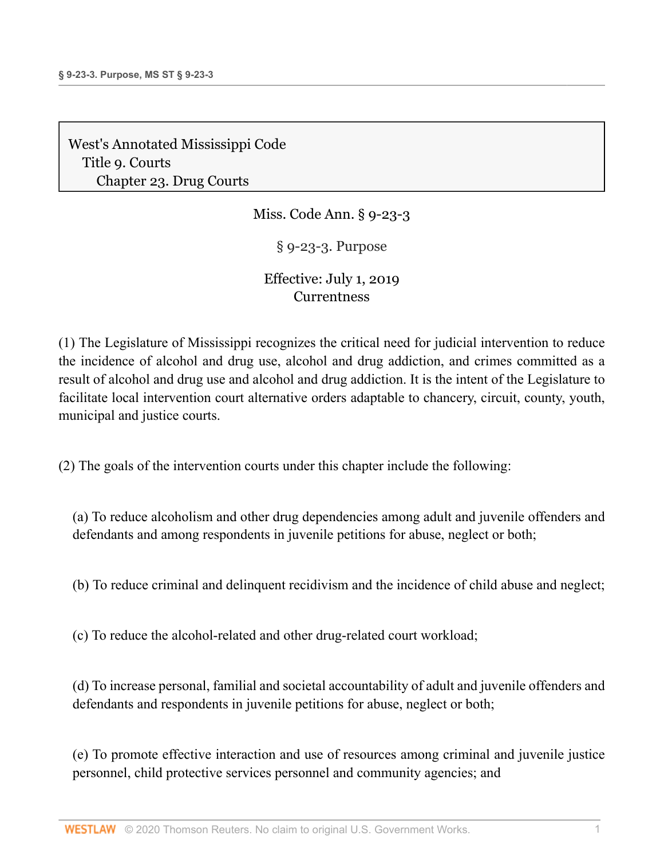Miss. Code Ann. § 9-23-3

§ 9-23-3. Purpose

# Effective: July 1, 2019 **[Currentness](#page-2-0)**

(1) The Legislature of Mississippi recognizes the critical need for judicial intervention to reduce the incidence of alcohol and drug use, alcohol and drug addiction, and crimes committed as a result of alcohol and drug use and alcohol and drug addiction. It is the intent of the Legislature to facilitate local intervention court alternative orders adaptable to chancery, circuit, county, youth, municipal and justice courts.

(2) The goals of the intervention courts under this chapter include the following:

(a) To reduce alcoholism and other drug dependencies among adult and juvenile offenders and defendants and among respondents in juvenile petitions for abuse, neglect or both;

(b) To reduce criminal and delinquent recidivism and the incidence of child abuse and neglect;

(c) To reduce the alcohol-related and other drug-related court workload;

(d) To increase personal, familial and societal accountability of adult and juvenile offenders and defendants and respondents in juvenile petitions for abuse, neglect or both;

(e) To promote effective interaction and use of resources among criminal and juvenile justice personnel, child protective services personnel and community agencies; and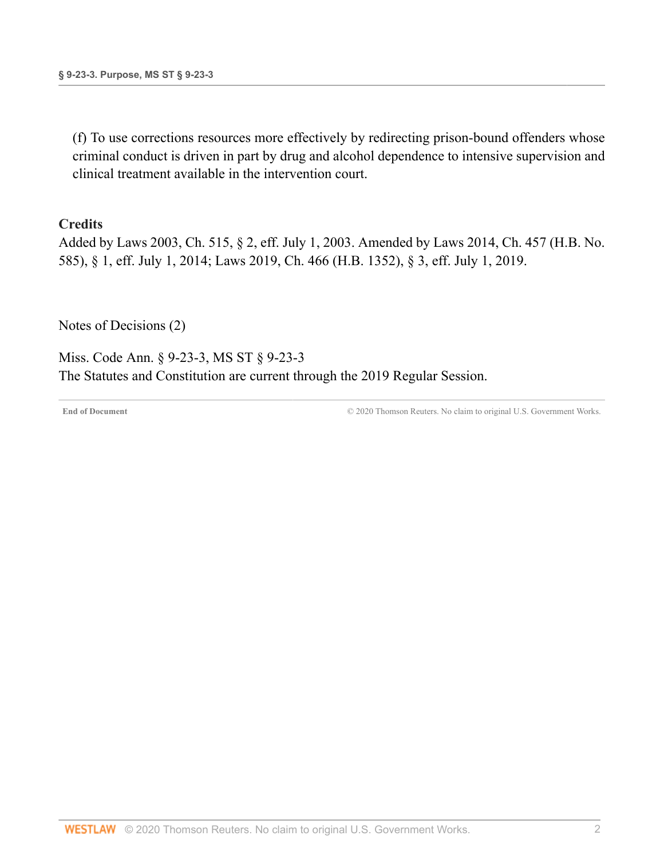(f) To use corrections resources more effectively by redirecting prison-bound offenders whose criminal conduct is driven in part by drug and alcohol dependence to intensive supervision and clinical treatment available in the intervention court.

#### **Credits**

Added by [Laws 2003, Ch. 515, § 2, eff. July 1, 2003](http://www.westlaw.com/Link/Document/FullText?findType=l&pubNum=1077005&cite=UUID(IB0627E38E6-AF400DB5757-AD4B13B2DB4)&originatingDoc=NC93619F1977311E9806FD1F570ABFF0E&refType=SL&originationContext=document&vr=3.0&rs=cblt1.0&transitionType=DocumentItem&contextData=(sc.Document)). Amended by [Laws 2014, Ch. 457 \(H.B. No.](http://www.westlaw.com/Link/Document/FullText?findType=l&pubNum=1077005&cite=UUID(I54E3EF30C1-F111E38BD4D-5B895430E11)&originatingDoc=NC93619F1977311E9806FD1F570ABFF0E&refType=SL&originationContext=document&vr=3.0&rs=cblt1.0&transitionType=DocumentItem&contextData=(sc.Document)) [585\), § 1, eff. July 1, 2014;](http://www.westlaw.com/Link/Document/FullText?findType=l&pubNum=1077005&cite=UUID(I54E3EF30C1-F111E38BD4D-5B895430E11)&originatingDoc=NC93619F1977311E9806FD1F570ABFF0E&refType=SL&originationContext=document&vr=3.0&rs=cblt1.0&transitionType=DocumentItem&contextData=(sc.Document)) [Laws 2019, Ch. 466 \(H.B. 1352\), § 3, eff. July 1, 2019](http://www.westlaw.com/Link/Document/FullText?findType=l&pubNum=1077005&cite=UUID(IA6F6ACB061-2C11E9A5BAC-454C4C7F67B)&originatingDoc=NC93619F1977311E9806FD1F570ABFF0E&refType=SL&originationContext=document&vr=3.0&rs=cblt1.0&transitionType=DocumentItem&contextData=(sc.Document)).

[Notes of Decisions \(2\)](http://www.westlaw.com/Link/RelatedInformation/NotesofDecisions?docGuid=NC93619F1977311E9806FD1F570ABFF0E&originationContext=document&vr=3.0&rs=cblt1.0&transitionType=NotesOfDecision&contextData=(sc.Document))

<span id="page-2-0"></span>Miss. Code Ann. § 9-23-3, MS ST § 9-23-3 The Statutes and Constitution are current through the 2019 Regular Session.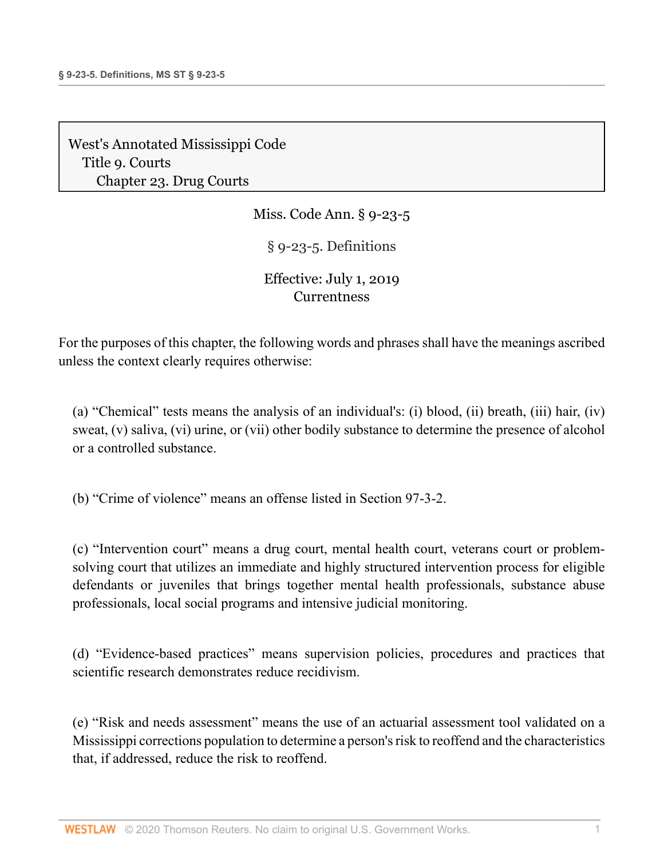Miss. Code Ann. § 9-23-5

§ 9-23-5. Definitions

# Effective: July 1, 2019 **[Currentness](#page-4-0)**

For the purposes of this chapter, the following words and phrases shall have the meanings ascribed unless the context clearly requires otherwise:

(a) "Chemical" tests means the analysis of an individual's: (i) blood, (ii) breath, (iii) hair, (iv) sweat, (v) saliva, (vi) urine, or (vii) other bodily substance to determine the presence of alcohol or a controlled substance.

(b) "Crime of violence" means an offense listed in [Section 97-3-2.](http://www.westlaw.com/Link/Document/FullText?findType=L&pubNum=1000933&cite=MSSTS97-3-2&originatingDoc=NC636E3B0977311E984C6B72F156B0EC8&refType=LQ&originationContext=document&vr=3.0&rs=cblt1.0&transitionType=DocumentItem&contextData=(sc.Document))

(c) "Intervention court" means a drug court, mental health court, veterans court or problemsolving court that utilizes an immediate and highly structured intervention process for eligible defendants or juveniles that brings together mental health professionals, substance abuse professionals, local social programs and intensive judicial monitoring.

(d) "Evidence-based practices" means supervision policies, procedures and practices that scientific research demonstrates reduce recidivism.

(e) "Risk and needs assessment" means the use of an actuarial assessment tool validated on a Mississippi corrections population to determine a person's risk to reoffend and the characteristics that, if addressed, reduce the risk to reoffend.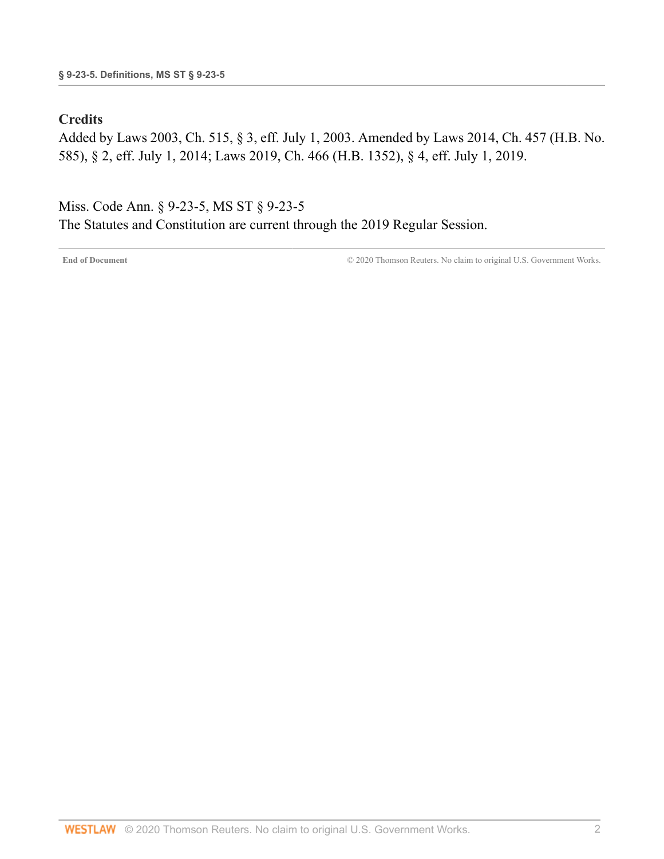### **Credits**

Added by [Laws 2003, Ch. 515, § 3, eff. July 1, 2003](http://www.westlaw.com/Link/Document/FullText?findType=l&pubNum=1077005&cite=UUID(IB0627E38E6-AF400DB5757-AD4B13B2DB4)&originatingDoc=NC636E3B0977311E984C6B72F156B0EC8&refType=SL&originationContext=document&vr=3.0&rs=cblt1.0&transitionType=DocumentItem&contextData=(sc.Document)). Amended by [Laws 2014, Ch. 457 \(H.B. No.](http://www.westlaw.com/Link/Document/FullText?findType=l&pubNum=1077005&cite=UUID(I54E3EF30C1-F111E38BD4D-5B895430E11)&originatingDoc=NC636E3B0977311E984C6B72F156B0EC8&refType=SL&originationContext=document&vr=3.0&rs=cblt1.0&transitionType=DocumentItem&contextData=(sc.Document)) [585\), § 2, eff. July 1, 2014;](http://www.westlaw.com/Link/Document/FullText?findType=l&pubNum=1077005&cite=UUID(I54E3EF30C1-F111E38BD4D-5B895430E11)&originatingDoc=NC636E3B0977311E984C6B72F156B0EC8&refType=SL&originationContext=document&vr=3.0&rs=cblt1.0&transitionType=DocumentItem&contextData=(sc.Document)) [Laws 2019, Ch. 466 \(H.B. 1352\), § 4, eff. July 1, 2019](http://www.westlaw.com/Link/Document/FullText?findType=l&pubNum=1077005&cite=UUID(IA6F6ACB061-2C11E9A5BAC-454C4C7F67B)&originatingDoc=NC636E3B0977311E984C6B72F156B0EC8&refType=SL&originationContext=document&vr=3.0&rs=cblt1.0&transitionType=DocumentItem&contextData=(sc.Document)).

<span id="page-4-0"></span>Miss. Code Ann. § 9-23-5, MS ST § 9-23-5 The Statutes and Constitution are current through the 2019 Regular Session.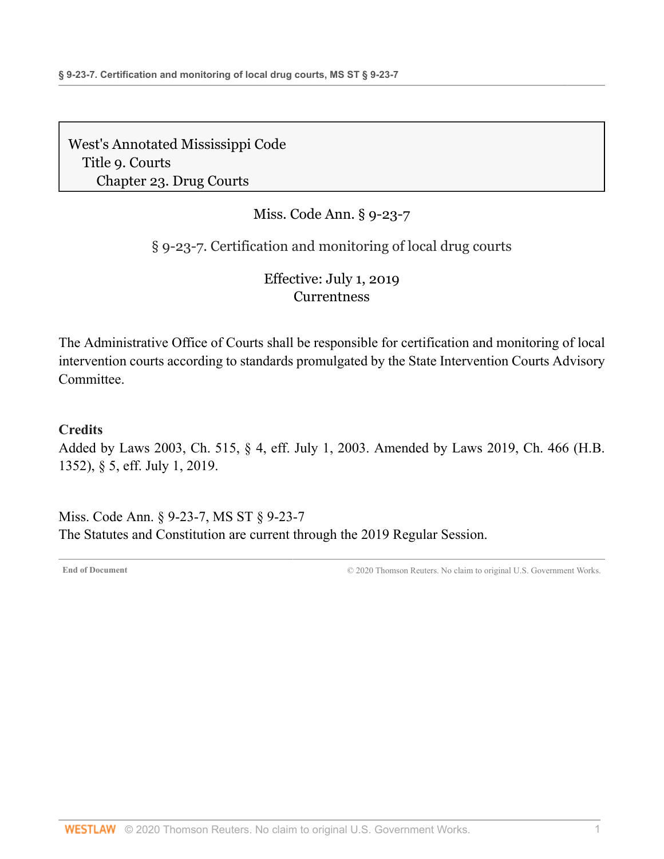# Miss. Code Ann. § 9-23-7

## § 9-23-7. Certification and monitoring of local drug courts

## Effective: July 1, 2019 **[Currentness](#page-5-0)**

The Administrative Office of Courts shall be responsible for certification and monitoring of local intervention courts according to standards promulgated by the State Intervention Courts Advisory Committee.

### **Credits**

Added by [Laws 2003, Ch. 515, § 4, eff. July 1, 2003.](http://www.westlaw.com/Link/Document/FullText?findType=l&pubNum=1077005&cite=UUID(IB0627E38E6-AF400DB5757-AD4B13B2DB4)&originatingDoc=NDBAAAE20977311E98AADDA96C898F760&refType=SL&originationContext=document&vr=3.0&rs=cblt1.0&transitionType=DocumentItem&contextData=(sc.Document)) Amended by [Laws 2019, Ch. 466 \(H.B.](http://www.westlaw.com/Link/Document/FullText?findType=l&pubNum=1077005&cite=UUID(IA6F6ACB061-2C11E9A5BAC-454C4C7F67B)&originatingDoc=NDBAAAE20977311E98AADDA96C898F760&refType=SL&originationContext=document&vr=3.0&rs=cblt1.0&transitionType=DocumentItem&contextData=(sc.Document)) [1352\), § 5, eff. July 1, 2019](http://www.westlaw.com/Link/Document/FullText?findType=l&pubNum=1077005&cite=UUID(IA6F6ACB061-2C11E9A5BAC-454C4C7F67B)&originatingDoc=NDBAAAE20977311E98AADDA96C898F760&refType=SL&originationContext=document&vr=3.0&rs=cblt1.0&transitionType=DocumentItem&contextData=(sc.Document)).

<span id="page-5-0"></span>Miss. Code Ann. § 9-23-7, MS ST § 9-23-7 The Statutes and Constitution are current through the 2019 Regular Session.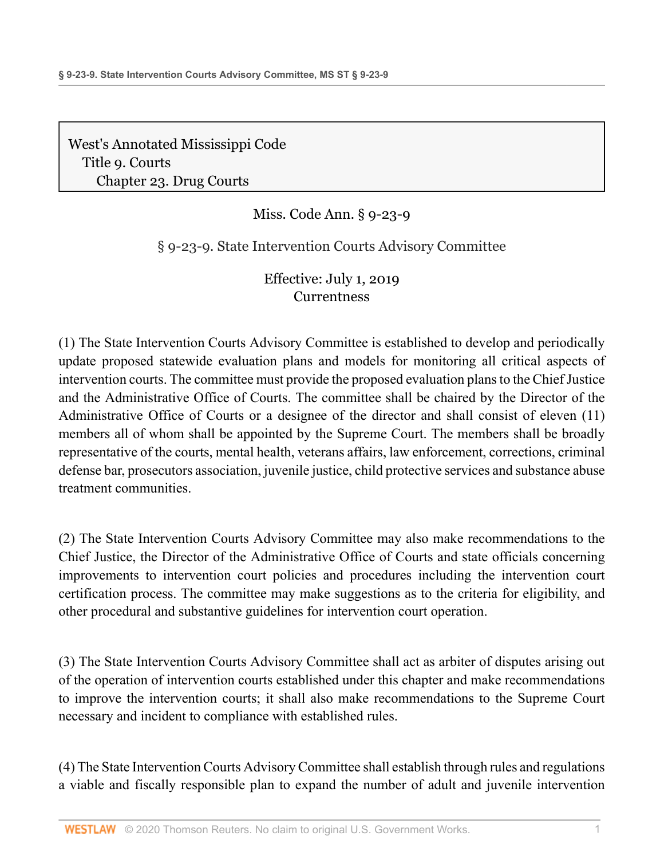# Miss. Code Ann. § 9-23-9

§ 9-23-9. State Intervention Courts Advisory Committee

Effective: July 1, 2019 **[Currentness](#page-7-0)** 

(1) The State Intervention Courts Advisory Committee is established to develop and periodically update proposed statewide evaluation plans and models for monitoring all critical aspects of intervention courts. The committee must provide the proposed evaluation plans to the Chief Justice and the Administrative Office of Courts. The committee shall be chaired by the Director of the Administrative Office of Courts or a designee of the director and shall consist of eleven (11) members all of whom shall be appointed by the Supreme Court. The members shall be broadly representative of the courts, mental health, veterans affairs, law enforcement, corrections, criminal defense bar, prosecutors association, juvenile justice, child protective services and substance abuse treatment communities.

(2) The State Intervention Courts Advisory Committee may also make recommendations to the Chief Justice, the Director of the Administrative Office of Courts and state officials concerning improvements to intervention court policies and procedures including the intervention court certification process. The committee may make suggestions as to the criteria for eligibility, and other procedural and substantive guidelines for intervention court operation.

(3) The State Intervention Courts Advisory Committee shall act as arbiter of disputes arising out of the operation of intervention courts established under this chapter and make recommendations to improve the intervention courts; it shall also make recommendations to the Supreme Court necessary and incident to compliance with established rules.

(4) The State Intervention Courts Advisory Committee shall establish through rules and regulations a viable and fiscally responsible plan to expand the number of adult and juvenile intervention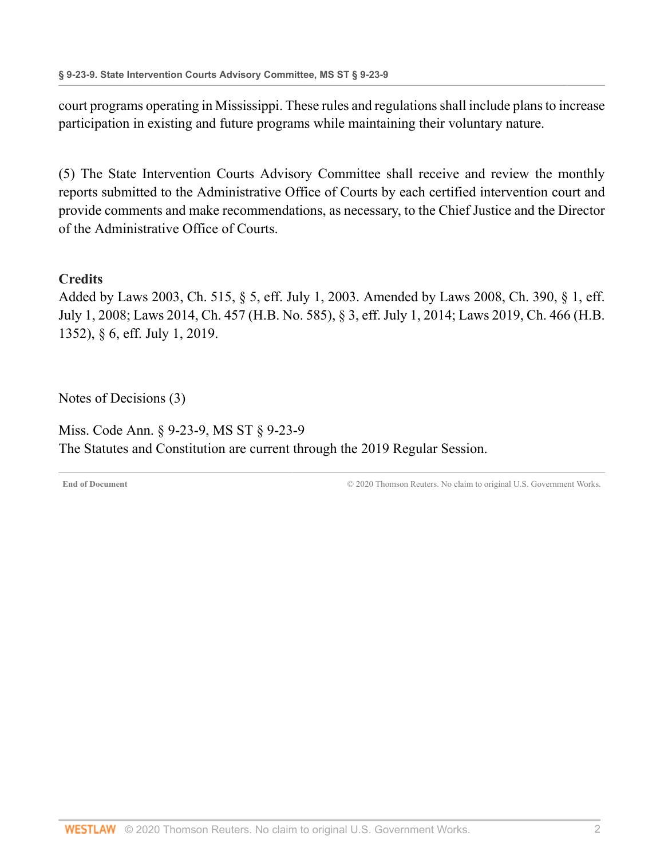court programs operating in Mississippi. These rules and regulations shall include plans to increase participation in existing and future programs while maintaining their voluntary nature.

(5) The State Intervention Courts Advisory Committee shall receive and review the monthly reports submitted to the Administrative Office of Courts by each certified intervention court and provide comments and make recommendations, as necessary, to the Chief Justice and the Director of the Administrative Office of Courts.

### **Credits**

Added by [Laws 2003, Ch. 515, § 5, eff. July 1, 2003.](http://www.westlaw.com/Link/Document/FullText?findType=l&pubNum=1077005&cite=UUID(IB0627E38E6-AF400DB5757-AD4B13B2DB4)&originatingDoc=NDAE4ED21977311E98AADDA96C898F760&refType=SL&originationContext=document&vr=3.0&rs=cblt1.0&transitionType=DocumentItem&contextData=(sc.Document)) Amended by [Laws 2008, Ch. 390, § 1, eff.](http://www.westlaw.com/Link/Document/FullText?findType=l&pubNum=1077005&cite=UUID(I064F8DD013-1911DD8D049-D6DE81B5344)&originatingDoc=NDAE4ED21977311E98AADDA96C898F760&refType=SL&originationContext=document&vr=3.0&rs=cblt1.0&transitionType=DocumentItem&contextData=(sc.Document)) [July 1, 2008;](http://www.westlaw.com/Link/Document/FullText?findType=l&pubNum=1077005&cite=UUID(I064F8DD013-1911DD8D049-D6DE81B5344)&originatingDoc=NDAE4ED21977311E98AADDA96C898F760&refType=SL&originationContext=document&vr=3.0&rs=cblt1.0&transitionType=DocumentItem&contextData=(sc.Document)) [Laws 2014, Ch. 457 \(H.B. No. 585\), § 3, eff. July 1, 2014;](http://www.westlaw.com/Link/Document/FullText?findType=l&pubNum=1077005&cite=UUID(I54E3EF30C1-F111E38BD4D-5B895430E11)&originatingDoc=NDAE4ED21977311E98AADDA96C898F760&refType=SL&originationContext=document&vr=3.0&rs=cblt1.0&transitionType=DocumentItem&contextData=(sc.Document)) [Laws 2019, Ch. 466 \(H.B.](http://www.westlaw.com/Link/Document/FullText?findType=l&pubNum=1077005&cite=UUID(IA6F6ACB061-2C11E9A5BAC-454C4C7F67B)&originatingDoc=NDAE4ED21977311E98AADDA96C898F760&refType=SL&originationContext=document&vr=3.0&rs=cblt1.0&transitionType=DocumentItem&contextData=(sc.Document)) [1352\), § 6, eff. July 1, 2019](http://www.westlaw.com/Link/Document/FullText?findType=l&pubNum=1077005&cite=UUID(IA6F6ACB061-2C11E9A5BAC-454C4C7F67B)&originatingDoc=NDAE4ED21977311E98AADDA96C898F760&refType=SL&originationContext=document&vr=3.0&rs=cblt1.0&transitionType=DocumentItem&contextData=(sc.Document)).

[Notes of Decisions \(3\)](http://www.westlaw.com/Link/RelatedInformation/NotesofDecisions?docGuid=NDAE4ED21977311E98AADDA96C898F760&originationContext=document&vr=3.0&rs=cblt1.0&transitionType=NotesOfDecision&contextData=(sc.Document))

<span id="page-7-0"></span>Miss. Code Ann. § 9-23-9, MS ST § 9-23-9 The Statutes and Constitution are current through the 2019 Regular Session.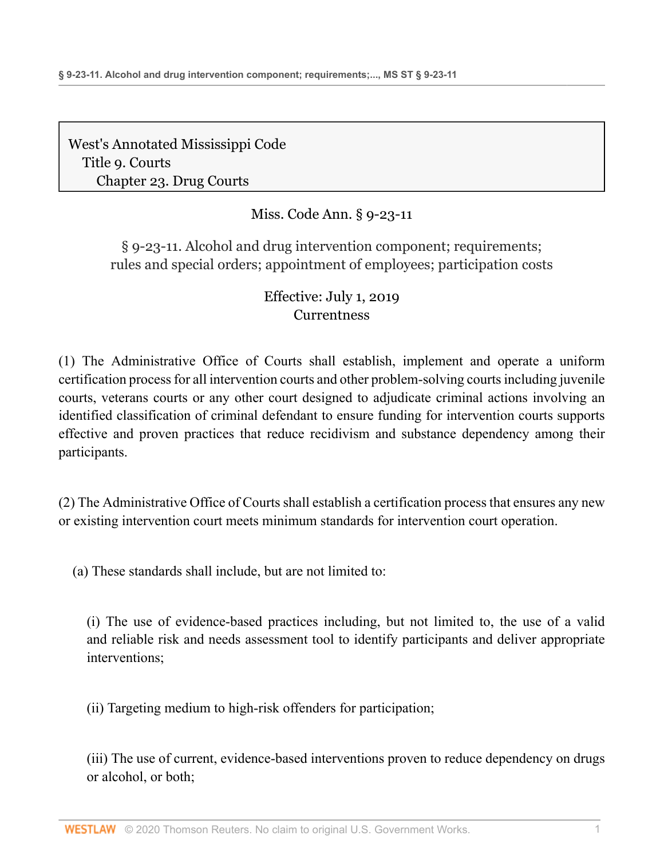# Miss. Code Ann. § 9-23-11

§ 9-23-11. Alcohol and drug intervention component; requirements; rules and special orders; appointment of employees; participation costs

# Effective: July 1, 2019 **[Currentness](#page-13-0)**

(1) The Administrative Office of Courts shall establish, implement and operate a uniform certification process for all intervention courts and other problem-solving courts including juvenile courts, veterans courts or any other court designed to adjudicate criminal actions involving an identified classification of criminal defendant to ensure funding for intervention courts supports effective and proven practices that reduce recidivism and substance dependency among their participants.

(2) The Administrative Office of Courts shall establish a certification process that ensures any new or existing intervention court meets minimum standards for intervention court operation.

(a) These standards shall include, but are not limited to:

(i) The use of evidence-based practices including, but not limited to, the use of a valid and reliable risk and needs assessment tool to identify participants and deliver appropriate interventions;

(ii) Targeting medium to high-risk offenders for participation;

(iii) The use of current, evidence-based interventions proven to reduce dependency on drugs or alcohol, or both;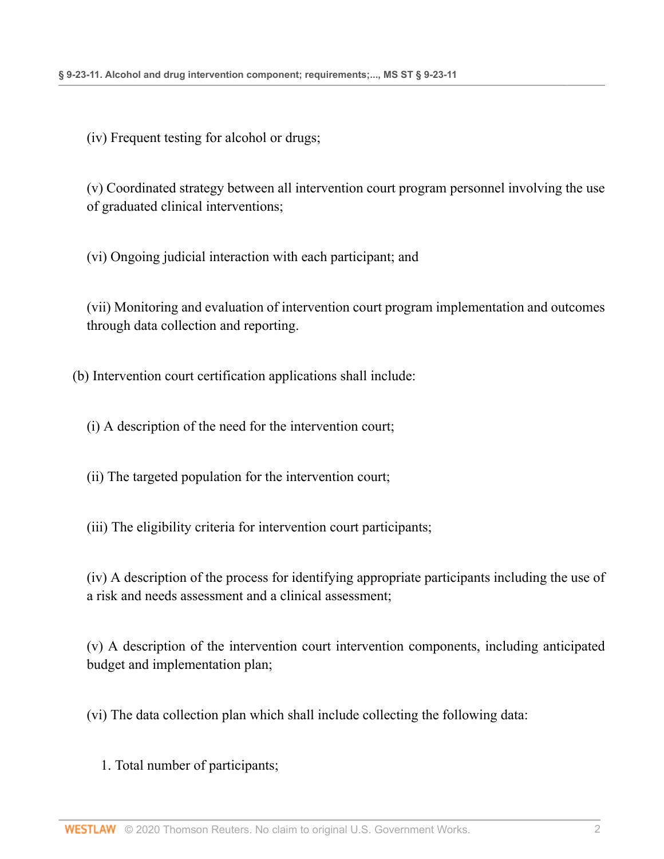(iv) Frequent testing for alcohol or drugs;

(v) Coordinated strategy between all intervention court program personnel involving the use of graduated clinical interventions;

(vi) Ongoing judicial interaction with each participant; and

(vii) Monitoring and evaluation of intervention court program implementation and outcomes through data collection and reporting.

(b) Intervention court certification applications shall include:

(i) A description of the need for the intervention court;

(ii) The targeted population for the intervention court;

(iii) The eligibility criteria for intervention court participants;

(iv) A description of the process for identifying appropriate participants including the use of a risk and needs assessment and a clinical assessment;

(v) A description of the intervention court intervention components, including anticipated budget and implementation plan;

(vi) The data collection plan which shall include collecting the following data:

1. Total number of participants;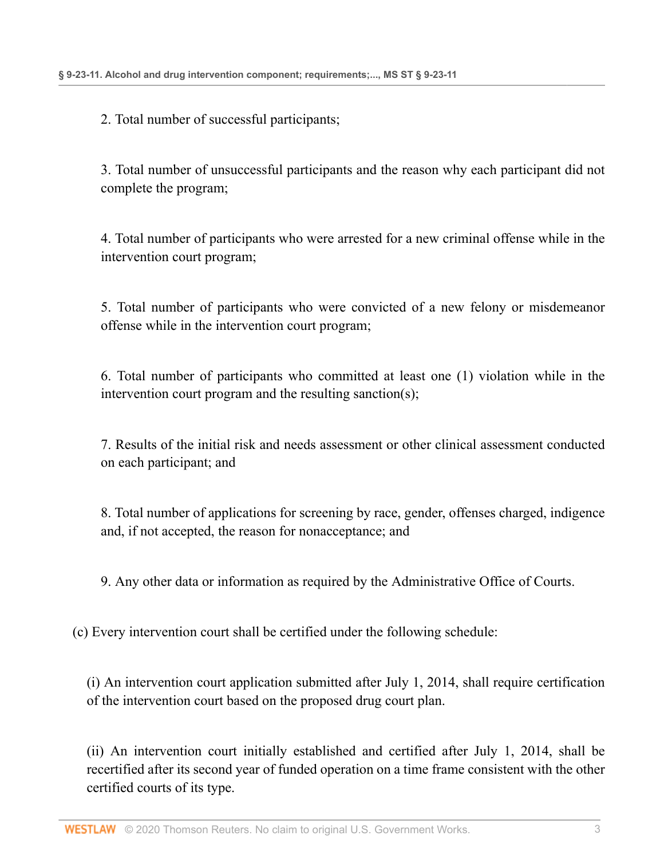2. Total number of successful participants;

3. Total number of unsuccessful participants and the reason why each participant did not complete the program;

4. Total number of participants who were arrested for a new criminal offense while in the intervention court program;

5. Total number of participants who were convicted of a new felony or misdemeanor offense while in the intervention court program;

6. Total number of participants who committed at least one (1) violation while in the intervention court program and the resulting sanction(s);

7. Results of the initial risk and needs assessment or other clinical assessment conducted on each participant; and

8. Total number of applications for screening by race, gender, offenses charged, indigence and, if not accepted, the reason for nonacceptance; and

9. Any other data or information as required by the Administrative Office of Courts.

(c) Every intervention court shall be certified under the following schedule:

(i) An intervention court application submitted after July 1, 2014, shall require certification of the intervention court based on the proposed drug court plan.

(ii) An intervention court initially established and certified after July 1, 2014, shall be recertified after its second year of funded operation on a time frame consistent with the other certified courts of its type.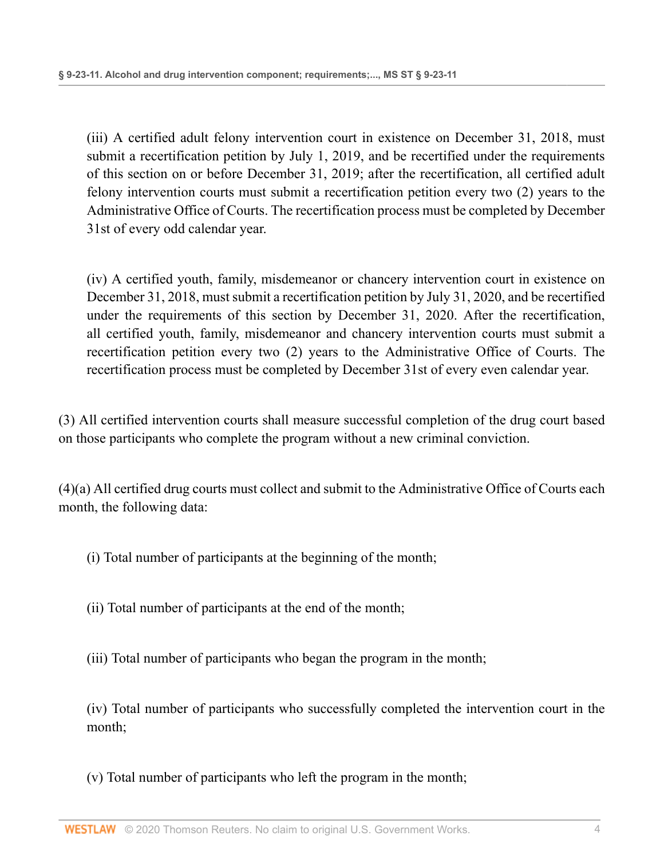(iii) A certified adult felony intervention court in existence on December 31, 2018, must submit a recertification petition by July 1, 2019, and be recertified under the requirements of this section on or before December 31, 2019; after the recertification, all certified adult felony intervention courts must submit a recertification petition every two (2) years to the Administrative Office of Courts. The recertification process must be completed by December 31st of every odd calendar year.

(iv) A certified youth, family, misdemeanor or chancery intervention court in existence on December 31, 2018, must submit a recertification petition by July 31, 2020, and be recertified under the requirements of this section by December 31, 2020. After the recertification, all certified youth, family, misdemeanor and chancery intervention courts must submit a recertification petition every two (2) years to the Administrative Office of Courts. The recertification process must be completed by December 31st of every even calendar year.

(3) All certified intervention courts shall measure successful completion of the drug court based on those participants who complete the program without a new criminal conviction.

(4)(a) All certified drug courts must collect and submit to the Administrative Office of Courts each month, the following data:

- (i) Total number of participants at the beginning of the month;
- (ii) Total number of participants at the end of the month;
- (iii) Total number of participants who began the program in the month;

(iv) Total number of participants who successfully completed the intervention court in the month;

(v) Total number of participants who left the program in the month;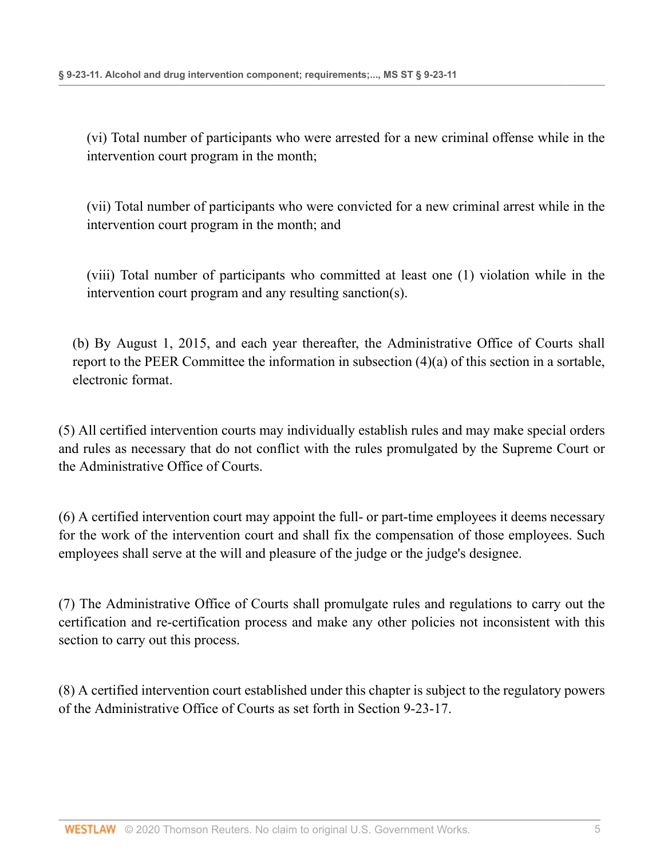(vi) Total number of participants who were arrested for a new criminal offense while in the intervention court program in the month;

(vii) Total number of participants who were convicted for a new criminal arrest while in the intervention court program in the month; and

(viii) Total number of participants who committed at least one (1) violation while in the intervention court program and any resulting sanction(s).

(b) By August 1, 2015, and each year thereafter, the Administrative Office of Courts shall report to the PEER Committee the information in subsection (4)(a) of this section in a sortable, electronic format.

(5) All certified intervention courts may individually establish rules and may make special orders and rules as necessary that do not conflict with the rules promulgated by the Supreme Court or the Administrative Office of Courts.

(6) A certified intervention court may appoint the full- or part-time employees it deems necessary for the work of the intervention court and shall fix the compensation of those employees. Such employees shall serve at the will and pleasure of the judge or the judge's designee.

(7) The Administrative Office of Courts shall promulgate rules and regulations to carry out the certification and re-certification process and make any other policies not inconsistent with this section to carry out this process.

(8) A certified intervention court established under this chapter is subject to the regulatory powers of the Administrative Office of Courts as set forth in [Section 9-23-17](http://www.westlaw.com/Link/Document/FullText?findType=L&pubNum=1000933&cite=MSSTS9-23-17&originatingDoc=NC78053A2977311E9806FD1F570ABFF0E&refType=LQ&originationContext=document&vr=3.0&rs=cblt1.0&transitionType=DocumentItem&contextData=(sc.Document)).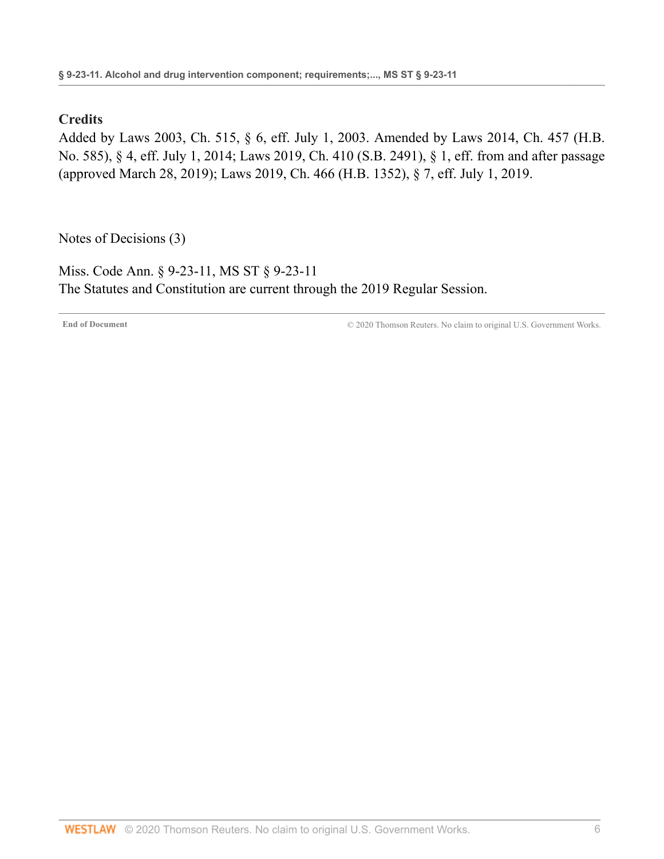### **Credits**

Added by [Laws 2003, Ch. 515, § 6, eff. July 1, 2003.](http://www.westlaw.com/Link/Document/FullText?findType=l&pubNum=1077005&cite=UUID(IB0627E38E6-AF400DB5757-AD4B13B2DB4)&originatingDoc=NC78053A2977311E9806FD1F570ABFF0E&refType=SL&originationContext=document&vr=3.0&rs=cblt1.0&transitionType=DocumentItem&contextData=(sc.Document)) Amended by [Laws 2014, Ch. 457 \(H.B.](http://www.westlaw.com/Link/Document/FullText?findType=l&pubNum=1077005&cite=UUID(I54E3EF30C1-F111E38BD4D-5B895430E11)&originatingDoc=NC78053A2977311E9806FD1F570ABFF0E&refType=SL&originationContext=document&vr=3.0&rs=cblt1.0&transitionType=DocumentItem&contextData=(sc.Document)) [No. 585\), § 4, eff. July 1, 2014](http://www.westlaw.com/Link/Document/FullText?findType=l&pubNum=1077005&cite=UUID(I54E3EF30C1-F111E38BD4D-5B895430E11)&originatingDoc=NC78053A2977311E9806FD1F570ABFF0E&refType=SL&originationContext=document&vr=3.0&rs=cblt1.0&transitionType=DocumentItem&contextData=(sc.Document)); [Laws 2019, Ch. 410 \(S.B. 2491\), § 1,](http://www.westlaw.com/Link/Document/FullText?findType=l&pubNum=1077005&cite=UUID(I38AC9FA051-AD11E9BB0E8-783E26F7595)&originatingDoc=NC78053A2977311E9806FD1F570ABFF0E&refType=SL&originationContext=document&vr=3.0&rs=cblt1.0&transitionType=DocumentItem&contextData=(sc.Document)) eff. from and after passage (approved March 28, 2019); [Laws 2019, Ch. 466 \(H.B. 1352\), § 7, eff. July 1, 2019](http://www.westlaw.com/Link/Document/FullText?findType=l&pubNum=1077005&cite=UUID(IA6F6ACB061-2C11E9A5BAC-454C4C7F67B)&originatingDoc=NC78053A2977311E9806FD1F570ABFF0E&refType=SL&originationContext=document&vr=3.0&rs=cblt1.0&transitionType=DocumentItem&contextData=(sc.Document)).

[Notes of Decisions \(3\)](http://www.westlaw.com/Link/RelatedInformation/NotesofDecisions?docGuid=NC78053A2977311E9806FD1F570ABFF0E&originationContext=document&vr=3.0&rs=cblt1.0&transitionType=NotesOfDecision&contextData=(sc.Document))

<span id="page-13-0"></span>Miss. Code Ann. § 9-23-11, MS ST § 9-23-11 The Statutes and Constitution are current through the 2019 Regular Session.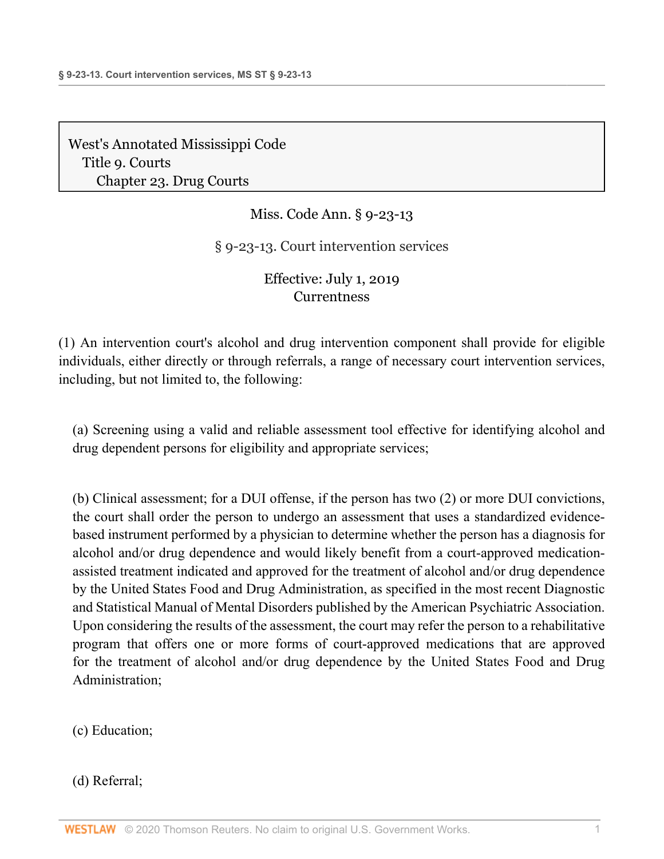Miss. Code Ann. § 9-23-13

§ 9-23-13. Court intervention services

Effective: July 1, 2019 **[Currentness](#page-15-0)** 

(1) An intervention court's alcohol and drug intervention component shall provide for eligible individuals, either directly or through referrals, a range of necessary court intervention services, including, but not limited to, the following:

(a) Screening using a valid and reliable assessment tool effective for identifying alcohol and drug dependent persons for eligibility and appropriate services;

(b) Clinical assessment; for a DUI offense, if the person has two (2) or more DUI convictions, the court shall order the person to undergo an assessment that uses a standardized evidencebased instrument performed by a physician to determine whether the person has a diagnosis for alcohol and/or drug dependence and would likely benefit from a court-approved medicationassisted treatment indicated and approved for the treatment of alcohol and/or drug dependence by the United States Food and Drug Administration, as specified in the most recent Diagnostic and Statistical Manual of Mental Disorders published by the American Psychiatric Association. Upon considering the results of the assessment, the court may refer the person to a rehabilitative program that offers one or more forms of court-approved medications that are approved for the treatment of alcohol and/or drug dependence by the United States Food and Drug Administration;

(c) Education;

(d) Referral;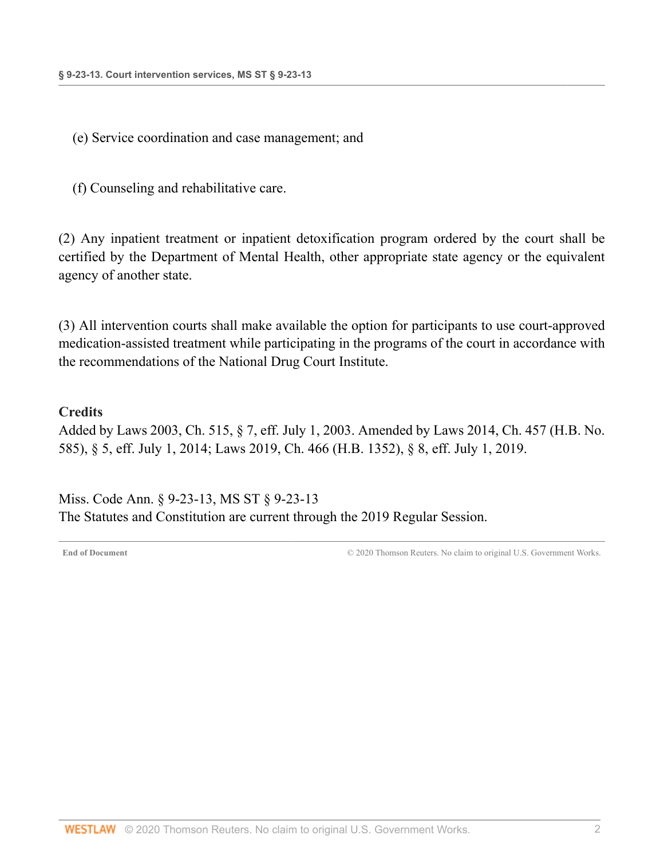(e) Service coordination and case management; and

(f) Counseling and rehabilitative care.

(2) Any inpatient treatment or inpatient detoxification program ordered by the court shall be certified by the Department of Mental Health, other appropriate state agency or the equivalent agency of another state.

(3) All intervention courts shall make available the option for participants to use court-approved medication-assisted treatment while participating in the programs of the court in accordance with the recommendations of the National Drug Court Institute.

### **Credits**

Added by [Laws 2003, Ch. 515, § 7, eff. July 1, 2003](http://www.westlaw.com/Link/Document/FullText?findType=l&pubNum=1077005&cite=UUID(IB0627E38E6-AF400DB5757-AD4B13B2DB4)&originatingDoc=ND28C8B10977311E9BECFBE167A0DFBF9&refType=SL&originationContext=document&vr=3.0&rs=cblt1.0&transitionType=DocumentItem&contextData=(sc.Document)). Amended by [Laws 2014, Ch. 457 \(H.B. No.](http://www.westlaw.com/Link/Document/FullText?findType=l&pubNum=1077005&cite=UUID(I54E3EF30C1-F111E38BD4D-5B895430E11)&originatingDoc=ND28C8B10977311E9BECFBE167A0DFBF9&refType=SL&originationContext=document&vr=3.0&rs=cblt1.0&transitionType=DocumentItem&contextData=(sc.Document)) [585\), § 5, eff. July 1, 2014;](http://www.westlaw.com/Link/Document/FullText?findType=l&pubNum=1077005&cite=UUID(I54E3EF30C1-F111E38BD4D-5B895430E11)&originatingDoc=ND28C8B10977311E9BECFBE167A0DFBF9&refType=SL&originationContext=document&vr=3.0&rs=cblt1.0&transitionType=DocumentItem&contextData=(sc.Document)) [Laws 2019, Ch. 466 \(H.B. 1352\), § 8, eff. July 1, 2019](http://www.westlaw.com/Link/Document/FullText?findType=l&pubNum=1077005&cite=UUID(IA6F6ACB061-2C11E9A5BAC-454C4C7F67B)&originatingDoc=ND28C8B10977311E9BECFBE167A0DFBF9&refType=SL&originationContext=document&vr=3.0&rs=cblt1.0&transitionType=DocumentItem&contextData=(sc.Document)).

<span id="page-15-0"></span>Miss. Code Ann. § 9-23-13, MS ST § 9-23-13 The Statutes and Constitution are current through the 2019 Regular Session.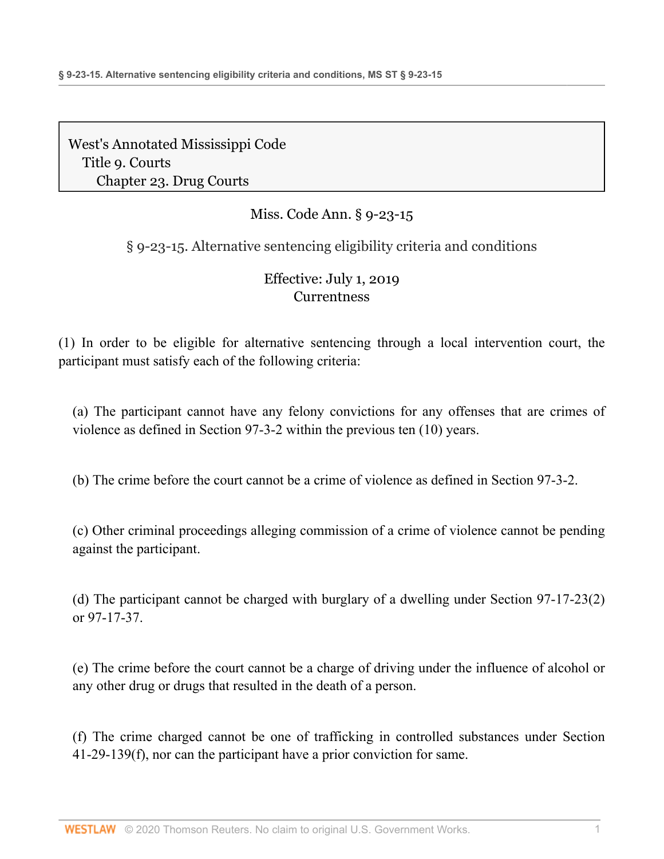# Miss. Code Ann. § 9-23-15

## § 9-23-15. Alternative sentencing eligibility criteria and conditions

## Effective: July 1, 2019 **[Currentness](#page-17-0)**

(1) In order to be eligible for alternative sentencing through a local intervention court, the participant must satisfy each of the following criteria:

(a) The participant cannot have any felony convictions for any offenses that are crimes of violence as defined in [Section 97-3-2](http://www.westlaw.com/Link/Document/FullText?findType=L&pubNum=1000933&cite=MSSTS97-3-2&originatingDoc=ND9ABD0E0977311E9BECFBE167A0DFBF9&refType=LQ&originationContext=document&vr=3.0&rs=cblt1.0&transitionType=DocumentItem&contextData=(sc.Document)) within the previous ten (10) years.

(b) The crime before the court cannot be a crime of violence as defined in [Section 97-3-2](http://www.westlaw.com/Link/Document/FullText?findType=L&pubNum=1000933&cite=MSSTS97-3-2&originatingDoc=ND9ABD0E0977311E9BECFBE167A0DFBF9&refType=LQ&originationContext=document&vr=3.0&rs=cblt1.0&transitionType=DocumentItem&contextData=(sc.Document)).

(c) Other criminal proceedings alleging commission of a crime of violence cannot be pending against the participant.

(d) The participant cannot be charged with burglary of a dwelling under [Section 97-17-23\(2\)](http://www.westlaw.com/Link/Document/FullText?findType=L&pubNum=1000933&cite=MSSTS97-17-23&originatingDoc=ND9ABD0E0977311E9BECFBE167A0DFBF9&refType=SP&originationContext=document&vr=3.0&rs=cblt1.0&transitionType=DocumentItem&contextData=(sc.Document)#co_pp_58730000872b1) or [97-17-37.](http://www.westlaw.com/Link/Document/FullText?findType=L&pubNum=1000933&cite=MSSTS97-17-37&originatingDoc=ND9ABD0E0977311E9BECFBE167A0DFBF9&refType=LQ&originationContext=document&vr=3.0&rs=cblt1.0&transitionType=DocumentItem&contextData=(sc.Document))

(e) The crime before the court cannot be a charge of driving under the influence of alcohol or any other drug or drugs that resulted in the death of a person.

(f) The crime charged cannot be one of trafficking in controlled substances under [Section](http://www.westlaw.com/Link/Document/FullText?findType=L&pubNum=1000933&cite=MSSTS41-29-139&originatingDoc=ND9ABD0E0977311E9BECFBE167A0DFBF9&refType=SP&originationContext=document&vr=3.0&rs=cblt1.0&transitionType=DocumentItem&contextData=(sc.Document)#co_pp_ae0d0000c5150) [41-29-139\(f\)](http://www.westlaw.com/Link/Document/FullText?findType=L&pubNum=1000933&cite=MSSTS41-29-139&originatingDoc=ND9ABD0E0977311E9BECFBE167A0DFBF9&refType=SP&originationContext=document&vr=3.0&rs=cblt1.0&transitionType=DocumentItem&contextData=(sc.Document)#co_pp_ae0d0000c5150), nor can the participant have a prior conviction for same.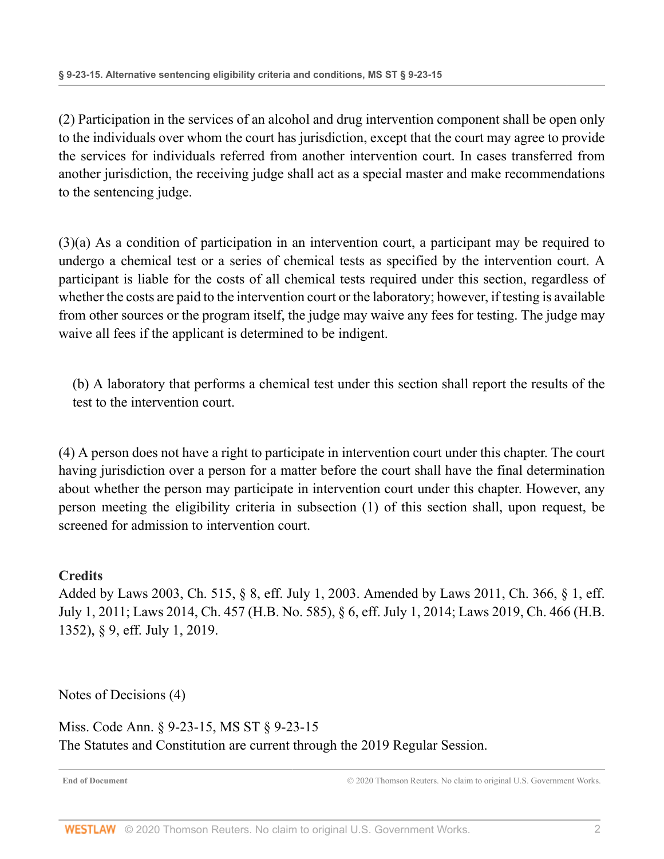(2) Participation in the services of an alcohol and drug intervention component shall be open only to the individuals over whom the court has jurisdiction, except that the court may agree to provide the services for individuals referred from another intervention court. In cases transferred from another jurisdiction, the receiving judge shall act as a special master and make recommendations to the sentencing judge.

(3)(a) As a condition of participation in an intervention court, a participant may be required to undergo a chemical test or a series of chemical tests as specified by the intervention court. A participant is liable for the costs of all chemical tests required under this section, regardless of whether the costs are paid to the intervention court or the laboratory; however, if testing is available from other sources or the program itself, the judge may waive any fees for testing. The judge may waive all fees if the applicant is determined to be indigent.

(b) A laboratory that performs a chemical test under this section shall report the results of the test to the intervention court.

(4) A person does not have a right to participate in intervention court under this chapter. The court having jurisdiction over a person for a matter before the court shall have the final determination about whether the person may participate in intervention court under this chapter. However, any person meeting the eligibility criteria in subsection (1) of this section shall, upon request, be screened for admission to intervention court.

### **Credits**

Added by [Laws 2003, Ch. 515, § 8, eff. July 1, 2003.](http://www.westlaw.com/Link/Document/FullText?findType=l&pubNum=1077005&cite=UUID(IB0627E38E6-AF400DB5757-AD4B13B2DB4)&originatingDoc=ND9ABD0E0977311E9BECFBE167A0DFBF9&refType=SL&originationContext=document&vr=3.0&rs=cblt1.0&transitionType=DocumentItem&contextData=(sc.Document)) Amended by [Laws 2011, Ch. 366, § 1, eff.](http://www.westlaw.com/Link/Document/FullText?findType=l&pubNum=1077005&cite=UUID(I4E4723F053-C611E0A9598-9C3AF00666D)&originatingDoc=ND9ABD0E0977311E9BECFBE167A0DFBF9&refType=SL&originationContext=document&vr=3.0&rs=cblt1.0&transitionType=DocumentItem&contextData=(sc.Document)) [July 1, 2011](http://www.westlaw.com/Link/Document/FullText?findType=l&pubNum=1077005&cite=UUID(I4E4723F053-C611E0A9598-9C3AF00666D)&originatingDoc=ND9ABD0E0977311E9BECFBE167A0DFBF9&refType=SL&originationContext=document&vr=3.0&rs=cblt1.0&transitionType=DocumentItem&contextData=(sc.Document)); [Laws 2014, Ch. 457 \(H.B. No. 585\), § 6, eff. July 1, 2014;](http://www.westlaw.com/Link/Document/FullText?findType=l&pubNum=1077005&cite=UUID(I54E3EF30C1-F111E38BD4D-5B895430E11)&originatingDoc=ND9ABD0E0977311E9BECFBE167A0DFBF9&refType=SL&originationContext=document&vr=3.0&rs=cblt1.0&transitionType=DocumentItem&contextData=(sc.Document)) [Laws 2019, Ch. 466 \(H.B.](http://www.westlaw.com/Link/Document/FullText?findType=l&pubNum=1077005&cite=UUID(IA6F6ACB061-2C11E9A5BAC-454C4C7F67B)&originatingDoc=ND9ABD0E0977311E9BECFBE167A0DFBF9&refType=SL&originationContext=document&vr=3.0&rs=cblt1.0&transitionType=DocumentItem&contextData=(sc.Document)) [1352\), § 9, eff. July 1, 2019](http://www.westlaw.com/Link/Document/FullText?findType=l&pubNum=1077005&cite=UUID(IA6F6ACB061-2C11E9A5BAC-454C4C7F67B)&originatingDoc=ND9ABD0E0977311E9BECFBE167A0DFBF9&refType=SL&originationContext=document&vr=3.0&rs=cblt1.0&transitionType=DocumentItem&contextData=(sc.Document)).

[Notes of Decisions \(4\)](http://www.westlaw.com/Link/RelatedInformation/NotesofDecisions?docGuid=ND9ABD0E0977311E9BECFBE167A0DFBF9&originationContext=document&vr=3.0&rs=cblt1.0&transitionType=NotesOfDecision&contextData=(sc.Document))

<span id="page-17-0"></span>Miss. Code Ann. § 9-23-15, MS ST § 9-23-15 The Statutes and Constitution are current through the 2019 Regular Session.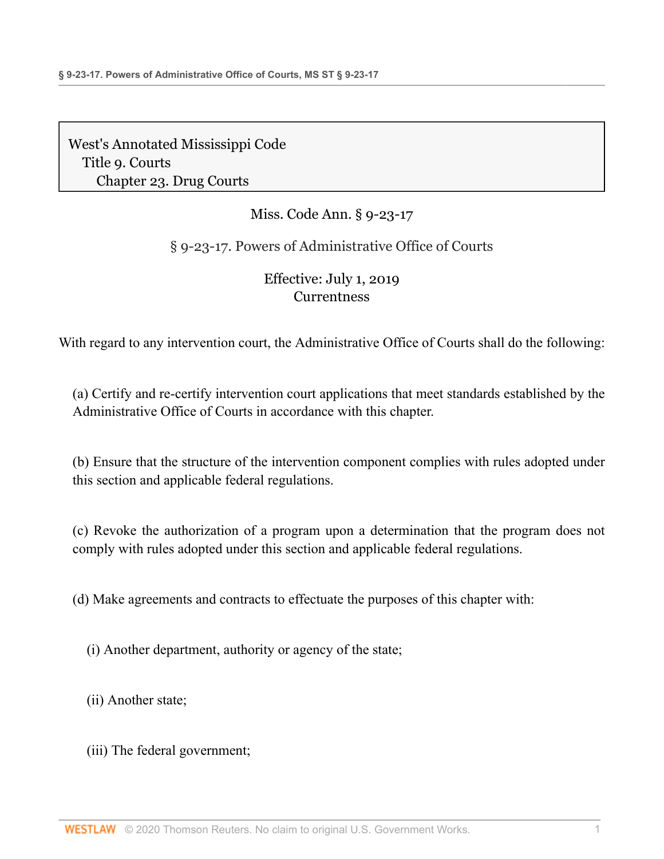# Miss. Code Ann. § 9-23-17

## § 9-23-17. Powers of Administrative Office of Courts

## Effective: July 1, 2019 **[Currentness](#page-19-0)**

With regard to any intervention court, the Administrative Office of Courts shall do the following:

(a) Certify and re-certify intervention court applications that meet standards established by the Administrative Office of Courts in accordance with this chapter.

(b) Ensure that the structure of the intervention component complies with rules adopted under this section and applicable federal regulations.

(c) Revoke the authorization of a program upon a determination that the program does not comply with rules adopted under this section and applicable federal regulations.

(d) Make agreements and contracts to effectuate the purposes of this chapter with:

(i) Another department, authority or agency of the state;

(ii) Another state;

(iii) The federal government;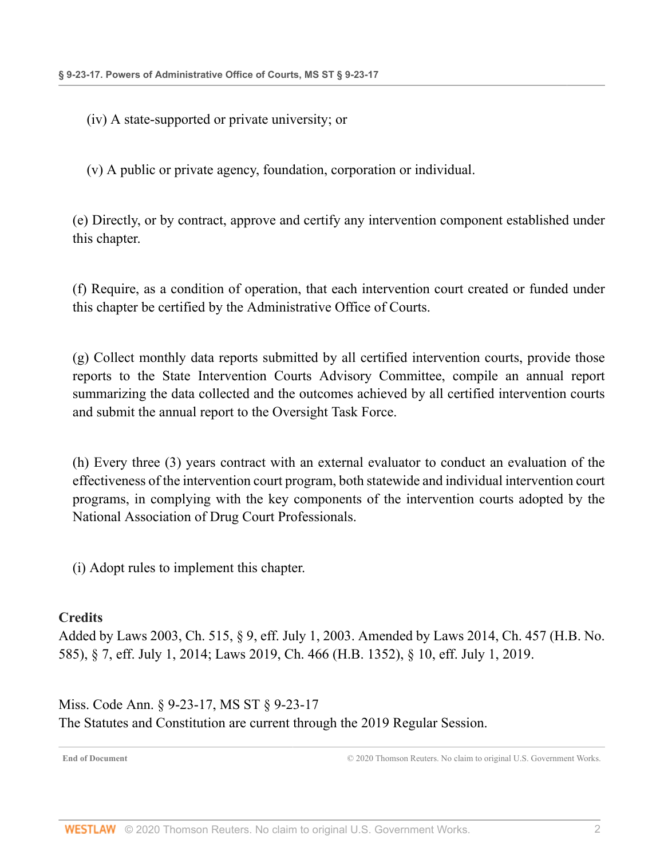(iv) A state-supported or private university; or

(v) A public or private agency, foundation, corporation or individual.

(e) Directly, or by contract, approve and certify any intervention component established under this chapter.

(f) Require, as a condition of operation, that each intervention court created or funded under this chapter be certified by the Administrative Office of Courts.

(g) Collect monthly data reports submitted by all certified intervention courts, provide those reports to the State Intervention Courts Advisory Committee, compile an annual report summarizing the data collected and the outcomes achieved by all certified intervention courts and submit the annual report to the Oversight Task Force.

(h) Every three (3) years contract with an external evaluator to conduct an evaluation of the effectiveness of the intervention court program, both statewide and individual intervention court programs, in complying with the key components of the intervention courts adopted by the National Association of Drug Court Professionals.

(i) Adopt rules to implement this chapter.

### **Credits**

Added by [Laws 2003, Ch. 515, § 9, eff. July 1, 2003](http://www.westlaw.com/Link/Document/FullText?findType=l&pubNum=1077005&cite=UUID(IB0627E38E6-AF400DB5757-AD4B13B2DB4)&originatingDoc=ND6203920977311E98AADDA96C898F760&refType=SL&originationContext=document&vr=3.0&rs=cblt1.0&transitionType=DocumentItem&contextData=(sc.Document)). Amended by [Laws 2014, Ch. 457 \(H.B. No.](http://www.westlaw.com/Link/Document/FullText?findType=l&pubNum=1077005&cite=UUID(I54E3EF30C1-F111E38BD4D-5B895430E11)&originatingDoc=ND6203920977311E98AADDA96C898F760&refType=SL&originationContext=document&vr=3.0&rs=cblt1.0&transitionType=DocumentItem&contextData=(sc.Document)) [585\), § 7, eff. July 1, 2014;](http://www.westlaw.com/Link/Document/FullText?findType=l&pubNum=1077005&cite=UUID(I54E3EF30C1-F111E38BD4D-5B895430E11)&originatingDoc=ND6203920977311E98AADDA96C898F760&refType=SL&originationContext=document&vr=3.0&rs=cblt1.0&transitionType=DocumentItem&contextData=(sc.Document)) [Laws 2019, Ch. 466 \(H.B. 1352\), § 10, eff. July 1, 2019.](http://www.westlaw.com/Link/Document/FullText?findType=l&pubNum=1077005&cite=UUID(IA6F6ACB061-2C11E9A5BAC-454C4C7F67B)&originatingDoc=ND6203920977311E98AADDA96C898F760&refType=SL&originationContext=document&vr=3.0&rs=cblt1.0&transitionType=DocumentItem&contextData=(sc.Document))

<span id="page-19-0"></span>Miss. Code Ann. § 9-23-17, MS ST § 9-23-17 The Statutes and Constitution are current through the 2019 Regular Session.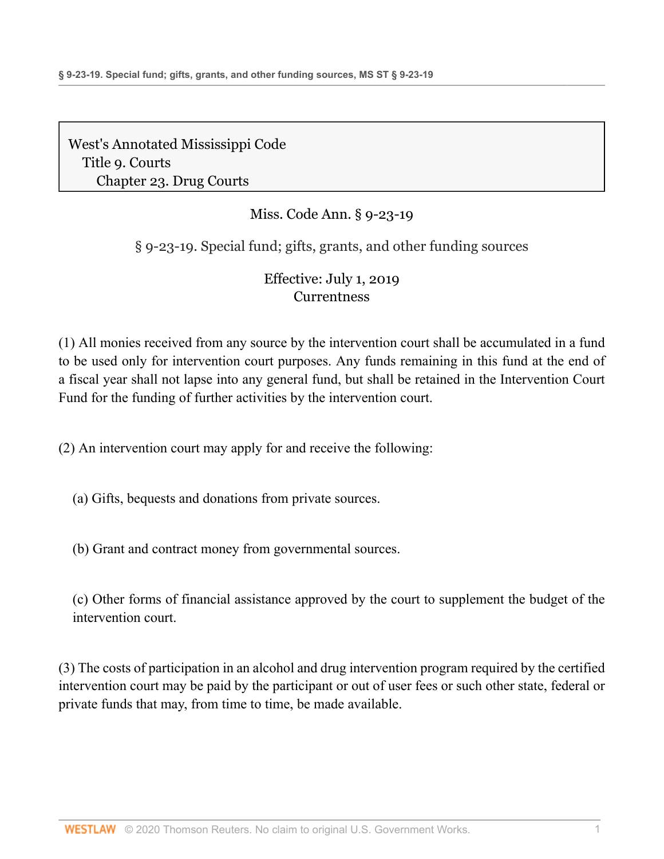# Miss. Code Ann. § 9-23-19

§ 9-23-19. Special fund; gifts, grants, and other funding sources

# Effective: July 1, 2019 **[Currentness](#page-21-0)**

(1) All monies received from any source by the intervention court shall be accumulated in a fund to be used only for intervention court purposes. Any funds remaining in this fund at the end of a fiscal year shall not lapse into any general fund, but shall be retained in the Intervention Court Fund for the funding of further activities by the intervention court.

(2) An intervention court may apply for and receive the following:

(a) Gifts, bequests and donations from private sources.

(b) Grant and contract money from governmental sources.

(c) Other forms of financial assistance approved by the court to supplement the budget of the intervention court.

(3) The costs of participation in an alcohol and drug intervention program required by the certified intervention court may be paid by the participant or out of user fees or such other state, federal or private funds that may, from time to time, be made available.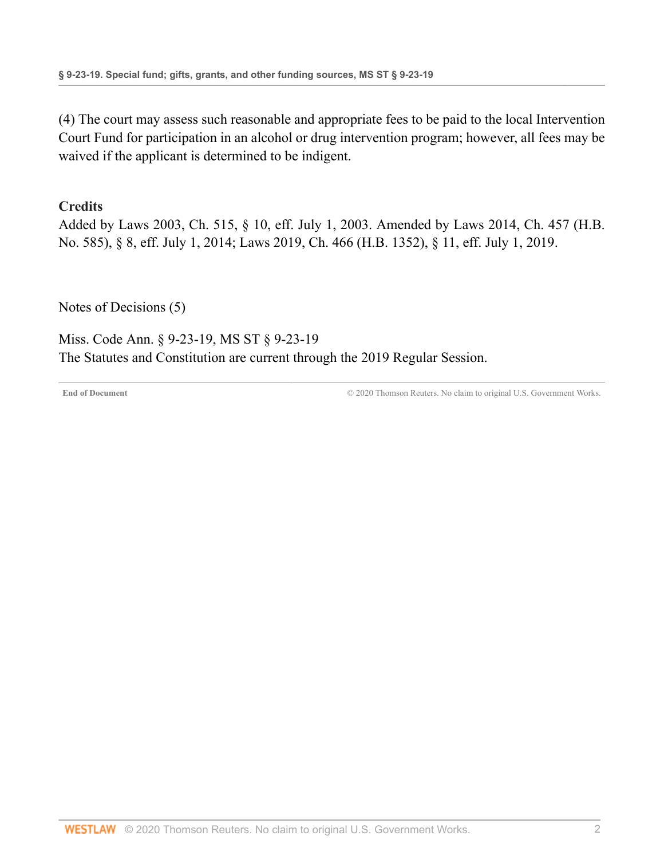(4) The court may assess such reasonable and appropriate fees to be paid to the local Intervention Court Fund for participation in an alcohol or drug intervention program; however, all fees may be waived if the applicant is determined to be indigent.

### **Credits**

Added by [Laws 2003, Ch. 515, § 10, eff. July 1, 2003](http://www.westlaw.com/Link/Document/FullText?findType=l&pubNum=1077005&cite=UUID(IB0627E38E6-AF400DB5757-AD4B13B2DB4)&originatingDoc=NCF54B8A1977311E9897BE981991D4DEA&refType=SL&originationContext=document&vr=3.0&rs=cblt1.0&transitionType=DocumentItem&contextData=(sc.Document)). Amended by [Laws 2014, Ch. 457 \(H.B.](http://www.westlaw.com/Link/Document/FullText?findType=l&pubNum=1077005&cite=UUID(I54E3EF30C1-F111E38BD4D-5B895430E11)&originatingDoc=NCF54B8A1977311E9897BE981991D4DEA&refType=SL&originationContext=document&vr=3.0&rs=cblt1.0&transitionType=DocumentItem&contextData=(sc.Document)) [No. 585\), § 8, eff. July 1, 2014](http://www.westlaw.com/Link/Document/FullText?findType=l&pubNum=1077005&cite=UUID(I54E3EF30C1-F111E38BD4D-5B895430E11)&originatingDoc=NCF54B8A1977311E9897BE981991D4DEA&refType=SL&originationContext=document&vr=3.0&rs=cblt1.0&transitionType=DocumentItem&contextData=(sc.Document)); [Laws 2019, Ch. 466 \(H.B. 1352\), § 11, eff. July 1, 2019.](http://www.westlaw.com/Link/Document/FullText?findType=l&pubNum=1077005&cite=UUID(IA6F6ACB061-2C11E9A5BAC-454C4C7F67B)&originatingDoc=NCF54B8A1977311E9897BE981991D4DEA&refType=SL&originationContext=document&vr=3.0&rs=cblt1.0&transitionType=DocumentItem&contextData=(sc.Document))

[Notes of Decisions \(5\)](http://www.westlaw.com/Link/RelatedInformation/NotesofDecisions?docGuid=NCF54B8A1977311E9897BE981991D4DEA&originationContext=document&vr=3.0&rs=cblt1.0&transitionType=NotesOfDecision&contextData=(sc.Document))

<span id="page-21-0"></span>Miss. Code Ann. § 9-23-19, MS ST § 9-23-19 The Statutes and Constitution are current through the 2019 Regular Session.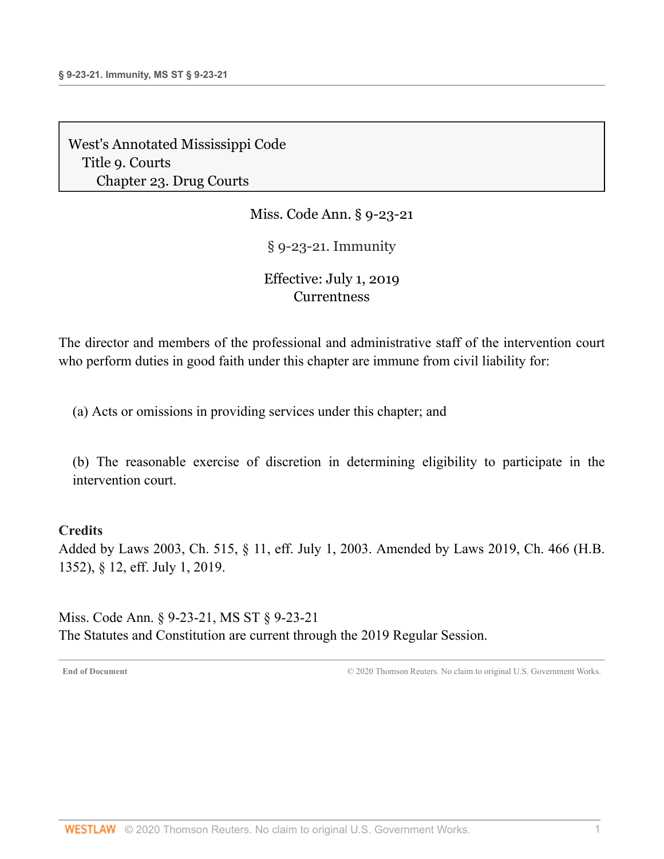Miss. Code Ann. § 9-23-21

§ 9-23-21. Immunity

## Effective: July 1, 2019 **[Currentness](#page-22-0)**

The director and members of the professional and administrative staff of the intervention court who perform duties in good faith under this chapter are immune from civil liability for:

(a) Acts or omissions in providing services under this chapter; and

(b) The reasonable exercise of discretion in determining eligibility to participate in the intervention court.

#### **Credits**

Added by [Laws 2003, Ch. 515, § 11, eff. July 1, 2003.](http://www.westlaw.com/Link/Document/FullText?findType=l&pubNum=1077005&cite=UUID(IB0627E38E6-AF400DB5757-AD4B13B2DB4)&originatingDoc=NC581EB91977311E9897BE981991D4DEA&refType=SL&originationContext=document&vr=3.0&rs=cblt1.0&transitionType=DocumentItem&contextData=(sc.Document)) Amended by [Laws 2019, Ch. 466 \(H.B.](http://www.westlaw.com/Link/Document/FullText?findType=l&pubNum=1077005&cite=UUID(IA6F6ACB061-2C11E9A5BAC-454C4C7F67B)&originatingDoc=NC581EB91977311E9897BE981991D4DEA&refType=SL&originationContext=document&vr=3.0&rs=cblt1.0&transitionType=DocumentItem&contextData=(sc.Document)) [1352\), § 12, eff. July 1, 2019.](http://www.westlaw.com/Link/Document/FullText?findType=l&pubNum=1077005&cite=UUID(IA6F6ACB061-2C11E9A5BAC-454C4C7F67B)&originatingDoc=NC581EB91977311E9897BE981991D4DEA&refType=SL&originationContext=document&vr=3.0&rs=cblt1.0&transitionType=DocumentItem&contextData=(sc.Document))

<span id="page-22-0"></span>Miss. Code Ann. § 9-23-21, MS ST § 9-23-21 The Statutes and Constitution are current through the 2019 Regular Session.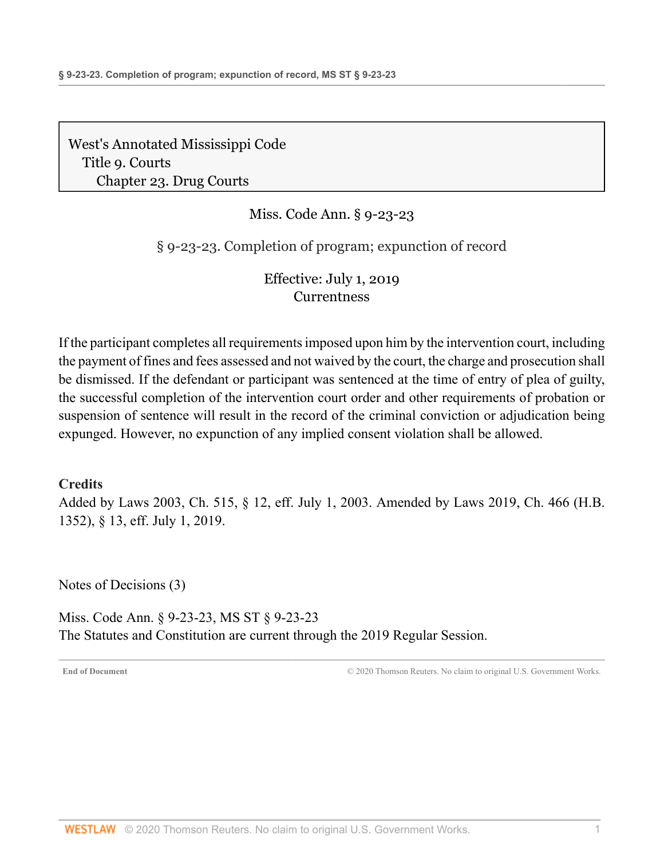# Miss. Code Ann. § 9-23-23

§ 9-23-23. Completion of program; expunction of record

Effective: July 1, 2019 **[Currentness](#page-23-0)** 

If the participant completes all requirements imposed upon him by the intervention court, including the payment of fines and fees assessed and not waived by the court, the charge and prosecution shall be dismissed. If the defendant or participant was sentenced at the time of entry of plea of guilty, the successful completion of the intervention court order and other requirements of probation or suspension of sentence will result in the record of the criminal conviction or adjudication being expunged. However, no expunction of any implied consent violation shall be allowed.

#### **Credits**

Added by [Laws 2003, Ch. 515, § 12, eff. July 1, 2003](http://www.westlaw.com/Link/Document/FullText?findType=l&pubNum=1077005&cite=UUID(IB0627E38E6-AF400DB5757-AD4B13B2DB4)&originatingDoc=NC9C2F0A1977311E9897BE981991D4DEA&refType=SL&originationContext=document&vr=3.0&rs=cblt1.0&transitionType=DocumentItem&contextData=(sc.Document)). Amended by [Laws 2019, Ch. 466 \(H.B.](http://www.westlaw.com/Link/Document/FullText?findType=l&pubNum=1077005&cite=UUID(IA6F6ACB061-2C11E9A5BAC-454C4C7F67B)&originatingDoc=NC9C2F0A1977311E9897BE981991D4DEA&refType=SL&originationContext=document&vr=3.0&rs=cblt1.0&transitionType=DocumentItem&contextData=(sc.Document)) [1352\), § 13, eff. July 1, 2019.](http://www.westlaw.com/Link/Document/FullText?findType=l&pubNum=1077005&cite=UUID(IA6F6ACB061-2C11E9A5BAC-454C4C7F67B)&originatingDoc=NC9C2F0A1977311E9897BE981991D4DEA&refType=SL&originationContext=document&vr=3.0&rs=cblt1.0&transitionType=DocumentItem&contextData=(sc.Document))

[Notes of Decisions \(3\)](http://www.westlaw.com/Link/RelatedInformation/NotesofDecisions?docGuid=NC9C2F0A1977311E9897BE981991D4DEA&originationContext=document&vr=3.0&rs=cblt1.0&transitionType=NotesOfDecision&contextData=(sc.Document))

<span id="page-23-0"></span>Miss. Code Ann. § 9-23-23, MS ST § 9-23-23 The Statutes and Constitution are current through the 2019 Regular Session.